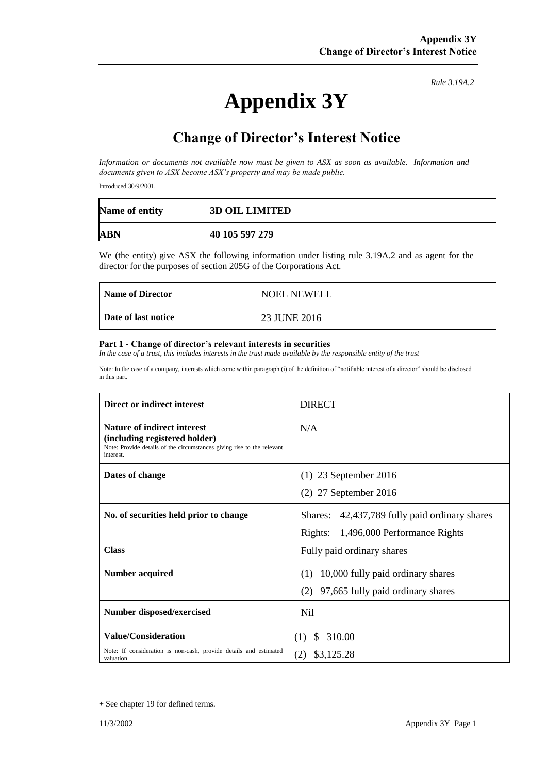# **Appendix 3Y**

*Rule 3.19A.2*

# **Change of Director's Interest Notice**

*Information or documents not available now must be given to ASX as soon as available. Information and documents given to ASX become ASX's property and may be made public.*

Introduced 30/9/2001.

| Name of entity | <b>3D OIL LIMITED</b> |
|----------------|-----------------------|
| ABN            | 40 105 597 279        |

We (the entity) give ASX the following information under listing rule 3.19A.2 and as agent for the director for the purposes of section 205G of the Corporations Act.

| <b>Name of Director</b> | <b>NOEL NEWELL</b> |
|-------------------------|--------------------|
| Date of last notice     | 23 JUNE 2016       |

#### **Part 1 - Change of director's relevant interests in securities**

*In the case of a trust, this includes interests in the trust made available by the responsible entity of the trust*

Note: In the case of a company, interests which come within paragraph (i) of the definition of "notifiable interest of a director" should be disclosed in this part.

| Direct or indirect interest                                                                                                                                | <b>DIRECT</b>                                 |  |
|------------------------------------------------------------------------------------------------------------------------------------------------------------|-----------------------------------------------|--|
| <b>Nature of indirect interest</b><br>(including registered holder)<br>Note: Provide details of the circumstances giving rise to the relevant<br>interest. | N/A                                           |  |
| Dates of change                                                                                                                                            | $(1)$ 23 September 2016                       |  |
|                                                                                                                                                            | $(2)$ 27 September 2016                       |  |
| No. of securities held prior to change                                                                                                                     | Shares: 42,437,789 fully paid ordinary shares |  |
|                                                                                                                                                            | Rights:<br>1,496,000 Performance Rights       |  |
| <b>Class</b>                                                                                                                                               | Fully paid ordinary shares                    |  |
| <b>Number acquired</b>                                                                                                                                     | 10,000 fully paid ordinary shares<br>(1)      |  |
|                                                                                                                                                            | (2)<br>97,665 fully paid ordinary shares      |  |
| <b>Number disposed/exercised</b>                                                                                                                           | N <sub>i</sub>                                |  |
| <b>Value/Consideration</b>                                                                                                                                 | 310.00<br>(1)<br><sup>\$</sup>                |  |
| Note: If consideration is non-cash, provide details and estimated<br>valuation                                                                             | (2)<br>\$3,125.28                             |  |

<sup>+</sup> See chapter 19 for defined terms.